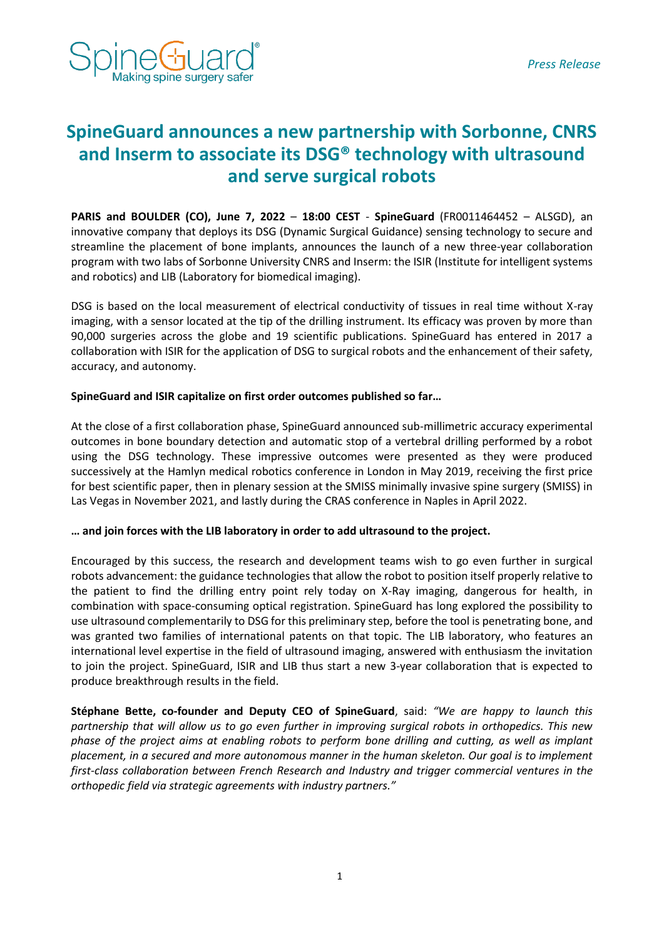

# **SpineGuard announces a new partnership with Sorbonne, CNRS and Inserm to associate its DSG® technology with ultrasound and serve surgical robots**

**PARIS and BOULDER (CO), June 7, 2022** – **18:00 CEST** - **SpineGuard** (FR0011464452 – ALSGD), an innovative company that deploys its DSG (Dynamic Surgical Guidance) sensing technology to secure and streamline the placement of bone implants, announces the launch of a new three-year collaboration program with two labs of Sorbonne University CNRS and Inserm: the ISIR (Institute for intelligent systems and robotics) and LIB (Laboratory for biomedical imaging).

DSG is based on the local measurement of electrical conductivity of tissues in real time without X-ray imaging, with a sensor located at the tip of the drilling instrument. Its efficacy was proven by more than 90,000 surgeries across the globe and 19 scientific publications. SpineGuard has entered in 2017 a collaboration with ISIR for the application of DSG to surgical robots and the enhancement of their safety, accuracy, and autonomy.

## **SpineGuard and ISIR capitalize on first order outcomes published so far…**

At the close of a first collaboration phase, SpineGuard announced sub-millimetric accuracy experimental outcomes in bone boundary detection and automatic stop of a vertebral drilling performed by a robot using the DSG technology. These impressive outcomes were presented as they were produced successively at the Hamlyn medical robotics conference in London in May 2019, receiving the first price for best scientific paper, then in plenary session at the SMISS minimally invasive spine surgery (SMISS) in Las Vegas in November 2021, and lastly during the CRAS conference in Naples in April 2022.

## **… and join forces with the LIB laboratory in order to add ultrasound to the project.**

Encouraged by this success, the research and development teams wish to go even further in surgical robots advancement: the guidance technologies that allow the robot to position itself properly relative to the patient to find the drilling entry point rely today on X-Ray imaging, dangerous for health, in combination with space-consuming optical registration. SpineGuard has long explored the possibility to use ultrasound complementarily to DSG for this preliminary step, before the tool is penetrating bone, and was granted two families of international patents on that topic. The LIB laboratory, who features an international level expertise in the field of ultrasound imaging, answered with enthusiasm the invitation to join the project. SpineGuard, ISIR and LIB thus start a new 3-year collaboration that is expected to produce breakthrough results in the field.

**Stéphane Bette, co-founder and Deputy CEO of SpineGuard**, said: *"We are happy to launch this partnership that will allow us to go even further in improving surgical robots in orthopedics. This new phase of the project aims at enabling robots to perform bone drilling and cutting, as well as implant placement, in a secured and more autonomous manner in the human skeleton. Our goal is to implement first-class collaboration between French Research and Industry and trigger commercial ventures in the orthopedic field via strategic agreements with industry partners."*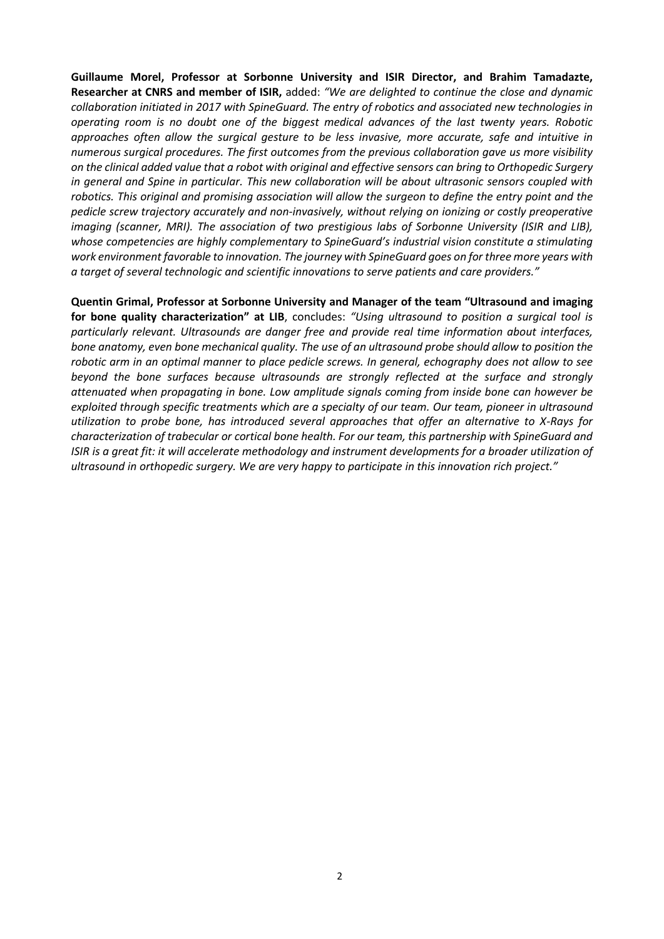**Guillaume Morel, Professor at Sorbonne University and ISIR Director, and Brahim Tamadazte, Researcher at CNRS and member of ISIR,** added: *"We are delighted to continue the close and dynamic collaboration initiated in 2017 with SpineGuard. The entry of robotics and associated new technologies in operating room is no doubt one of the biggest medical advances of the last twenty years. Robotic approaches often allow the surgical gesture to be less invasive, more accurate, safe and intuitive in numerous surgical procedures. The first outcomes from the previous collaboration gave us more visibility on the clinical added value that a robot with original and effective sensors can bring to Orthopedic Surgery in general and Spine in particular. This new collaboration will be about ultrasonic sensors coupled with robotics. This original and promising association will allow the surgeon to define the entry point and the pedicle screw trajectory accurately and non-invasively, without relying on ionizing or costly preoperative imaging (scanner, MRI). The association of two prestigious labs of Sorbonne University (ISIR and LIB), whose competencies are highly complementary to SpineGuard's industrial vision constitute a stimulating work environment favorable to innovation. The journey with SpineGuard goes on for three more years with a target of several technologic and scientific innovations to serve patients and care providers."*

**Quentin Grimal, Professor at Sorbonne University and Manager of the team "Ultrasound and imaging for bone quality characterization" at LIB**, concludes: *"Using ultrasound to position a surgical tool is particularly relevant. Ultrasounds are danger free and provide real time information about interfaces, bone anatomy, even bone mechanical quality. The use of an ultrasound probe should allow to position the robotic arm in an optimal manner to place pedicle screws. In general, echography does not allow to see beyond the bone surfaces because ultrasounds are strongly reflected at the surface and strongly attenuated when propagating in bone. Low amplitude signals coming from inside bone can however be exploited through specific treatments which are a specialty of our team. Our team, pioneer in ultrasound utilization to probe bone, has introduced several approaches that offer an alternative to X-Rays for characterization of trabecular or cortical bone health. For our team, this partnership with SpineGuard and ISIR is a great fit: it will accelerate methodology and instrument developments for a broader utilization of ultrasound in orthopedic surgery. We are very happy to participate in this innovation rich project."*